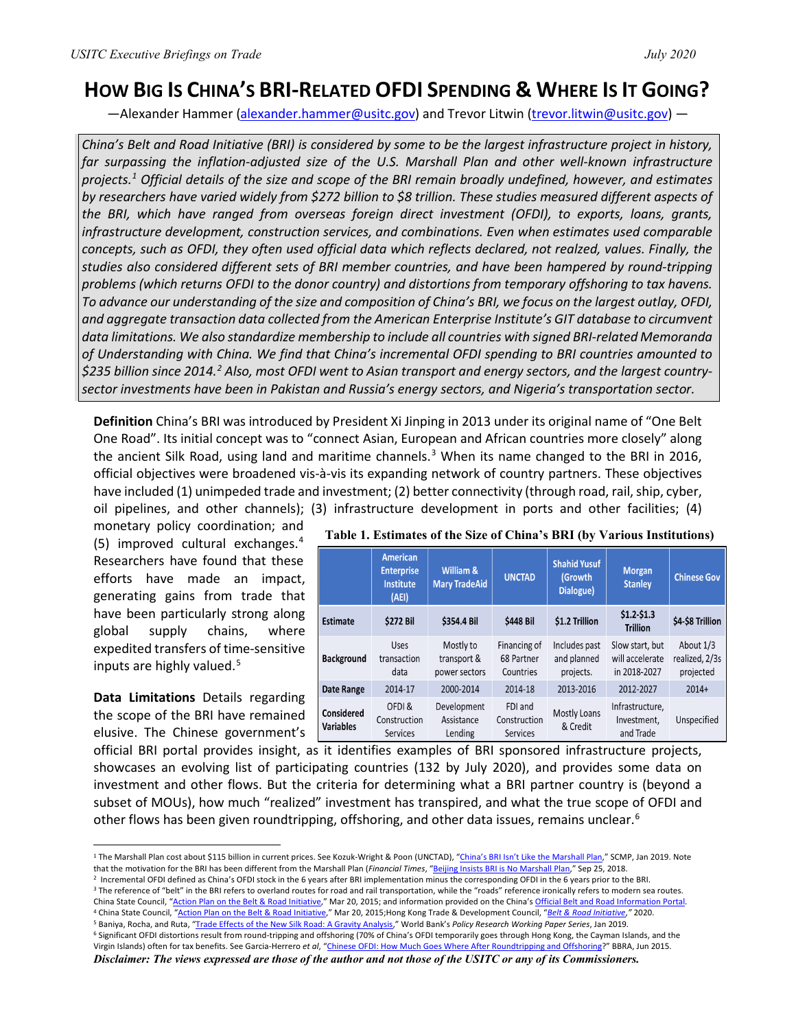## **HOW BIG IS CHINA'S BRI-RELATED OFDI SPENDING & WHERE IS IT GOING?**

-Alexander Hammer [\(alexander.hammer@usitc.gov\)](mailto:alexander.hammer@usitc.gov) and Trevor Litwin [\(trevor.litwin@usitc.gov\)](mailto:trevor.litwin@usitc.gov) —

*China's Belt and Road Initiative (BRI) is considered by some to be the largest infrastructure project in history, far surpassing the inflation-adjusted size of the U.S. Marshall Plan and other well-known infrastructure projects. [1](#page-0-0) Official details of the size and scope of the BRI remain broadly undefined, however, and estimates by researchers have varied widely from \$272 billion to \$8 trillion. These studies measured different aspects of the BRI, which have ranged from overseas foreign direct investment (OFDI), to exports, loans, grants, infrastructure development, construction services, and combinations. Even when estimates used comparable concepts, such as OFDI, they often used official data which reflects declared, not realzed, values. Finally, the studies also considered different sets of BRI member countries, and have been hampered by round-tripping problems (which returns OFDI to the donor country) and distortions from temporary offshoring to tax havens. To advance our understanding of the size and composition of China's BRI, we focus on the largest outlay, OFDI, and aggregate transaction data collected from the American Enterprise Institute's GIT database to circumvent data limitations. We also standardize membership to include all countries with signed BRI-related Memoranda of Understanding with China. We find that China's incremental OFDI spending to BRI countries amounted to \$235 billion since 2014.[2](#page-0-1) Also, most OFDI went to Asian transport and energy sectors, and the largest countrysector investments have been in Pakistan and Russia's energy sectors, and Nigeria's transportation sector.* 

**Definition** China's BRI was introduced by President Xi Jinping in 2013 under its original name of "One Belt One Road". Its initial concept was to "connect Asian, European and African countries more closely" along the ancient Silk Road, using land and maritime channels.<sup>[3](#page-0-2)</sup> When its name changed to the BRI in 2016, official objectives were broadened vis-à-vis its expanding network of country partners. These objectives have included (1) unimpeded trade and investment; (2) better connectivity (through road, rail, ship, cyber, oil pipelines, and other channels); (3) infrastructure development in ports and other facilities; (4)

monetary policy coordination; and (5) improved cultural exchanges. [4](#page-0-3) Researchers have found that these efforts have made an impact, generating gains from trade that have been particularly strong along global supply chains, where expedited transfers of time-sensitive inputs are highly valued. [5](#page-0-4)

**Data Limitations** Details regarding the scope of the BRI have remained elusive. The Chinese government's

|                                | <b>American</b><br><b>Enterprise</b><br><b>Institute</b><br>(AEI) | William &<br><b>Mary TradeAid</b>         | <b>UNCTAD</b>                              | <b>Shahid Yusuf</b><br>(Growth<br>Dialogue) | <b>Morgan</b><br><b>Stanley</b>                    | <b>Chinese Gov</b>                       |
|--------------------------------|-------------------------------------------------------------------|-------------------------------------------|--------------------------------------------|---------------------------------------------|----------------------------------------------------|------------------------------------------|
| Estimate                       | <b>\$272 Bil</b>                                                  | \$354.4 Bil                               | \$448 Bil                                  | \$1.2 Trillion                              | $$1.2 - $1.3$<br><b>Trillion</b>                   | \$4-\$8 Trillion                         |
| <b>Background</b>              | Uses<br>transaction<br>data                                       | Mostly to<br>transport &<br>power sectors | Financing of<br>68 Partner<br>Countries    | Includes past<br>and planned<br>projects.   | Slow start, but<br>will accelerate<br>in 2018-2027 | About 1/3<br>realized, 2/3s<br>projected |
| Date Range                     | 2014-17                                                           | 2000-2014                                 | 2014-18                                    | 2013-2016                                   | 2012-2027                                          | $2014+$                                  |
| Considered<br><b>Variables</b> | OFDI&<br>Construction<br><b>Services</b>                          | Development<br>Assistance<br>Lending      | FDI and<br>Construction<br><b>Services</b> | Mostly Loans<br>& Credit                    | Infrastructure,<br>Investment.<br>and Trade        | Unspecified                              |

## **Table 1. Estimates of the Size of China's BRI (by Various Institutions)**

official BRI portal provides insight, as it identifies examples of BRI sponsored infrastructure projects, showcases an evolving list of participating countries (132 by July 2020), and provides some data on investment and other flows. But the criteria for determining what a BRI partner country is (beyond a subset of MOUs), how much "realized" investment has transpired, and what the true scope of OFDI and other flows has been given roundtripping, offshoring, and other data issues, remains unclear.<sup>[6](#page-0-5)</sup>

<span id="page-0-3"></span><sup>4</sup> China State Council, ["Action Plan on the Belt & Road Initiative,"](http://english.www.gov.cn/archive/publications/2015/03/30/content_281475080249035.htm) Mar 20, 2015;Hong Kong Trade & Development Council, "*Belt & [Road Initiative](https://research.hktdc.com/en/article/MzYzMDAyOTg5)*,*"* 2020.

*Disclaimer: The views expressed are those of the author and not those of the USITC or any of its Commissioners.*

<span id="page-0-0"></span><sup>&</sup>lt;sup>1</sup> The Marshall Plan cost about \$115 billion in current prices. See Kozuk-Wright & Poon (UNCTAD), ["China's BRI Isn't Like the Marshall Plan,"](https://www.scmp.com/comment/insight-opinion/united-states/article/2183292/chinas-belt-and-road-plan-isnt-marshall-plan) SCMP, Jan 2019. Note that the motivation for the BRI has been different from th

<span id="page-0-2"></span><span id="page-0-1"></span><sup>&</sup>lt;sup>2</sup> Incremental OFDI defined as China's OFDI stock in the 6 years after BRI implementation minus the corresponding OFDI in the 6 years prior to the BRI.<br><sup>3</sup> The reference of "belt" in the BRI refers to overland routes for China State Council, ["Action Plan on the Belt &](http://english.www.gov.cn/archive/publications/2015/03/30/content_281475080249035.htm) Road Initiative," Mar 20, 2015; and information provided on the China'[s Official Belt a](https://eng.yidaiyilu.gov.cn/)nd [Road Information Portal.](https://eng.yidaiyilu.gov.cn/)

<span id="page-0-5"></span><span id="page-0-4"></span><sup>&</sup>lt;sup>6</sup> Significant OFDI distortions result from round-tripping and offshoring (70% of China's OFDI temporarily goes through Hong Kong, the Cayman Islands, and the Virgin Islands) often for tax benefits. See Garcia-Herrero *et al*, ["Chinese OFDI: How Much Goes Where After Roundtripping and Offshoring?](https://www.bbvaresearch.com/wp-content/uploads/2015/06/15_17_Working-Paper_ODI.pdf)" BBRA, Jun 2015.